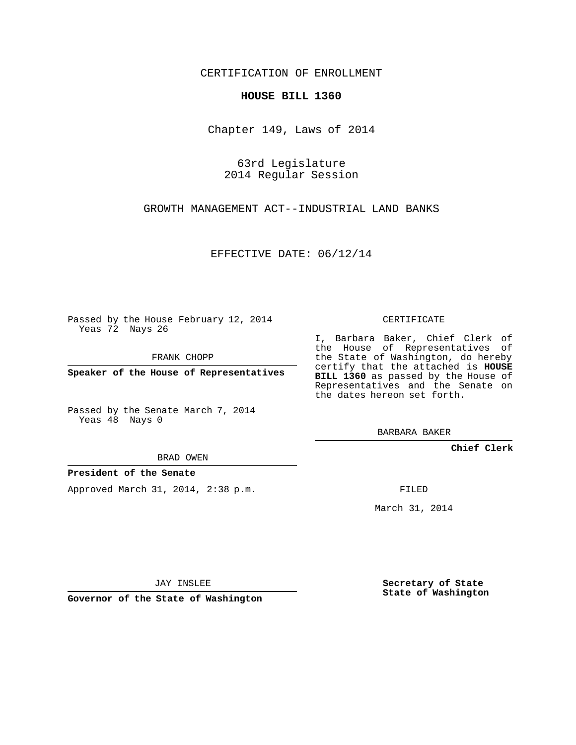CERTIFICATION OF ENROLLMENT

## **HOUSE BILL 1360**

Chapter 149, Laws of 2014

63rd Legislature 2014 Regular Session

GROWTH MANAGEMENT ACT--INDUSTRIAL LAND BANKS

EFFECTIVE DATE: 06/12/14

Passed by the House February 12, 2014 Yeas 72 Nays 26

FRANK CHOPP

**Speaker of the House of Representatives**

Passed by the Senate March 7, 2014 Yeas 48 Nays 0

BRAD OWEN

## **President of the Senate**

Approved March 31, 2014, 2:38 p.m.

CERTIFICATE

I, Barbara Baker, Chief Clerk of the House of Representatives of the State of Washington, do hereby certify that the attached is **HOUSE BILL 1360** as passed by the House of Representatives and the Senate on the dates hereon set forth.

BARBARA BAKER

**Chief Clerk**

FILED

March 31, 2014

JAY INSLEE

**Governor of the State of Washington**

**Secretary of State State of Washington**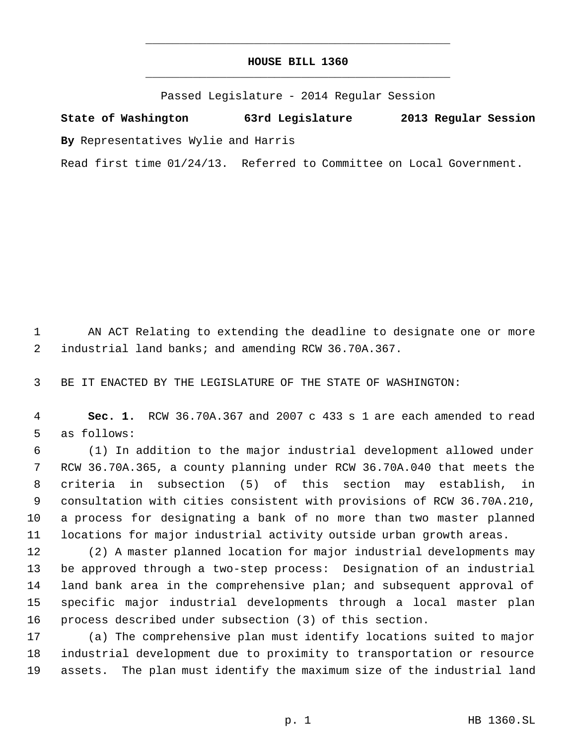## **HOUSE BILL 1360** \_\_\_\_\_\_\_\_\_\_\_\_\_\_\_\_\_\_\_\_\_\_\_\_\_\_\_\_\_\_\_\_\_\_\_\_\_\_\_\_\_\_\_\_\_

\_\_\_\_\_\_\_\_\_\_\_\_\_\_\_\_\_\_\_\_\_\_\_\_\_\_\_\_\_\_\_\_\_\_\_\_\_\_\_\_\_\_\_\_\_

Passed Legislature - 2014 Regular Session

**State of Washington 63rd Legislature 2013 Regular Session By** Representatives Wylie and Harris

Read first time 01/24/13. Referred to Committee on Local Government.

 AN ACT Relating to extending the deadline to designate one or more industrial land banks; and amending RCW 36.70A.367.

BE IT ENACTED BY THE LEGISLATURE OF THE STATE OF WASHINGTON:

 **Sec. 1.** RCW 36.70A.367 and 2007 c 433 s 1 are each amended to read as follows:

 (1) In addition to the major industrial development allowed under RCW 36.70A.365, a county planning under RCW 36.70A.040 that meets the criteria in subsection (5) of this section may establish, in consultation with cities consistent with provisions of RCW 36.70A.210, a process for designating a bank of no more than two master planned locations for major industrial activity outside urban growth areas.

 (2) A master planned location for major industrial developments may be approved through a two-step process: Designation of an industrial land bank area in the comprehensive plan; and subsequent approval of specific major industrial developments through a local master plan process described under subsection (3) of this section.

 (a) The comprehensive plan must identify locations suited to major industrial development due to proximity to transportation or resource assets. The plan must identify the maximum size of the industrial land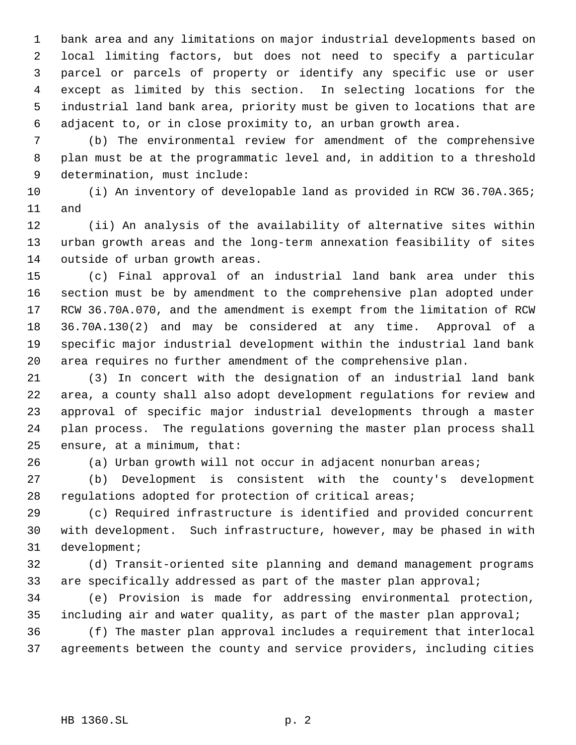bank area and any limitations on major industrial developments based on local limiting factors, but does not need to specify a particular parcel or parcels of property or identify any specific use or user except as limited by this section. In selecting locations for the industrial land bank area, priority must be given to locations that are adjacent to, or in close proximity to, an urban growth area.

 (b) The environmental review for amendment of the comprehensive plan must be at the programmatic level and, in addition to a threshold determination, must include:

 (i) An inventory of developable land as provided in RCW 36.70A.365; and

 (ii) An analysis of the availability of alternative sites within urban growth areas and the long-term annexation feasibility of sites outside of urban growth areas.

 (c) Final approval of an industrial land bank area under this section must be by amendment to the comprehensive plan adopted under RCW 36.70A.070, and the amendment is exempt from the limitation of RCW 36.70A.130(2) and may be considered at any time. Approval of a specific major industrial development within the industrial land bank area requires no further amendment of the comprehensive plan.

 (3) In concert with the designation of an industrial land bank area, a county shall also adopt development regulations for review and approval of specific major industrial developments through a master plan process. The regulations governing the master plan process shall ensure, at a minimum, that:

(a) Urban growth will not occur in adjacent nonurban areas;

 (b) Development is consistent with the county's development regulations adopted for protection of critical areas;

 (c) Required infrastructure is identified and provided concurrent with development. Such infrastructure, however, may be phased in with development;

 (d) Transit-oriented site planning and demand management programs 33 are specifically addressed as part of the master plan approval;

 (e) Provision is made for addressing environmental protection, including air and water quality, as part of the master plan approval;

 (f) The master plan approval includes a requirement that interlocal agreements between the county and service providers, including cities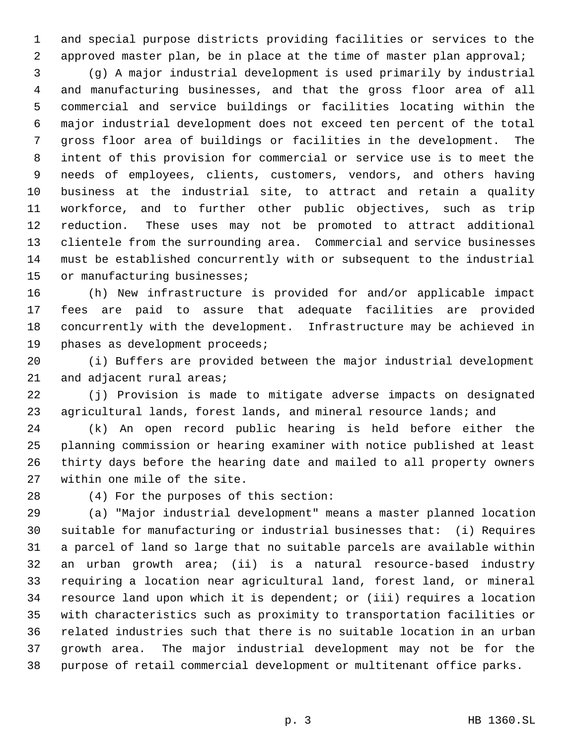and special purpose districts providing facilities or services to the approved master plan, be in place at the time of master plan approval;

 (g) A major industrial development is used primarily by industrial and manufacturing businesses, and that the gross floor area of all commercial and service buildings or facilities locating within the major industrial development does not exceed ten percent of the total gross floor area of buildings or facilities in the development. The intent of this provision for commercial or service use is to meet the needs of employees, clients, customers, vendors, and others having business at the industrial site, to attract and retain a quality workforce, and to further other public objectives, such as trip reduction. These uses may not be promoted to attract additional clientele from the surrounding area. Commercial and service businesses must be established concurrently with or subsequent to the industrial 15 or manufacturing businesses;

 (h) New infrastructure is provided for and/or applicable impact fees are paid to assure that adequate facilities are provided concurrently with the development. Infrastructure may be achieved in phases as development proceeds;

 (i) Buffers are provided between the major industrial development 21 and adjacent rural areas;

 (j) Provision is made to mitigate adverse impacts on designated 23 agricultural lands, forest lands, and mineral resource lands; and

 (k) An open record public hearing is held before either the planning commission or hearing examiner with notice published at least thirty days before the hearing date and mailed to all property owners within one mile of the site.

(4) For the purposes of this section:

 (a) "Major industrial development" means a master planned location suitable for manufacturing or industrial businesses that: (i) Requires a parcel of land so large that no suitable parcels are available within an urban growth area; (ii) is a natural resource-based industry requiring a location near agricultural land, forest land, or mineral resource land upon which it is dependent; or (iii) requires a location with characteristics such as proximity to transportation facilities or related industries such that there is no suitable location in an urban growth area. The major industrial development may not be for the purpose of retail commercial development or multitenant office parks.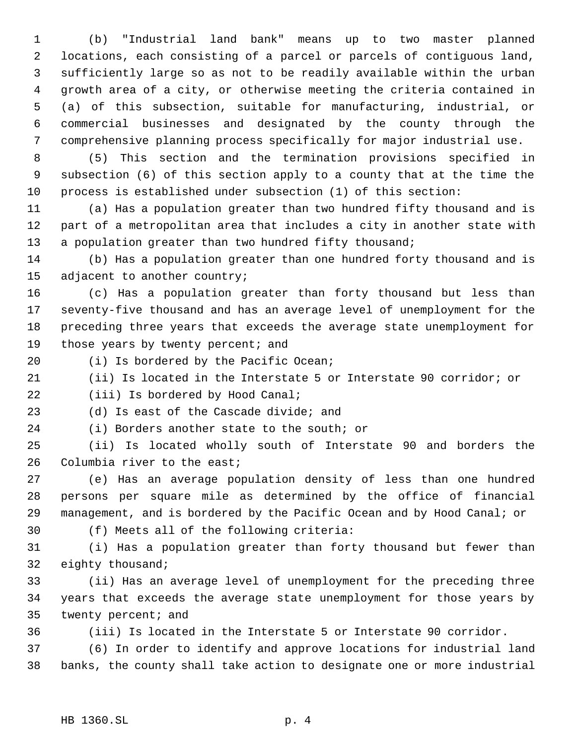(b) "Industrial land bank" means up to two master planned locations, each consisting of a parcel or parcels of contiguous land, sufficiently large so as not to be readily available within the urban growth area of a city, or otherwise meeting the criteria contained in (a) of this subsection, suitable for manufacturing, industrial, or commercial businesses and designated by the county through the comprehensive planning process specifically for major industrial use.

 (5) This section and the termination provisions specified in subsection (6) of this section apply to a county that at the time the process is established under subsection (1) of this section:

 (a) Has a population greater than two hundred fifty thousand and is part of a metropolitan area that includes a city in another state with 13 a population greater than two hundred fifty thousand;

 (b) Has a population greater than one hundred forty thousand and is adjacent to another country;

 (c) Has a population greater than forty thousand but less than seventy-five thousand and has an average level of unemployment for the preceding three years that exceeds the average state unemployment for 19 those years by twenty percent; and

(i) Is bordered by the Pacific Ocean;

(ii) Is located in the Interstate 5 or Interstate 90 corridor; or

22 (iii) Is bordered by Hood Canal;

(d) Is east of the Cascade divide; and

(i) Borders another state to the south; or

 (ii) Is located wholly south of Interstate 90 and borders the Columbia river to the east;

 (e) Has an average population density of less than one hundred persons per square mile as determined by the office of financial management, and is bordered by the Pacific Ocean and by Hood Canal; or

(f) Meets all of the following criteria:

 (i) Has a population greater than forty thousand but fewer than eighty thousand;

 (ii) Has an average level of unemployment for the preceding three years that exceeds the average state unemployment for those years by twenty percent; and

(iii) Is located in the Interstate 5 or Interstate 90 corridor.

 (6) In order to identify and approve locations for industrial land banks, the county shall take action to designate one or more industrial